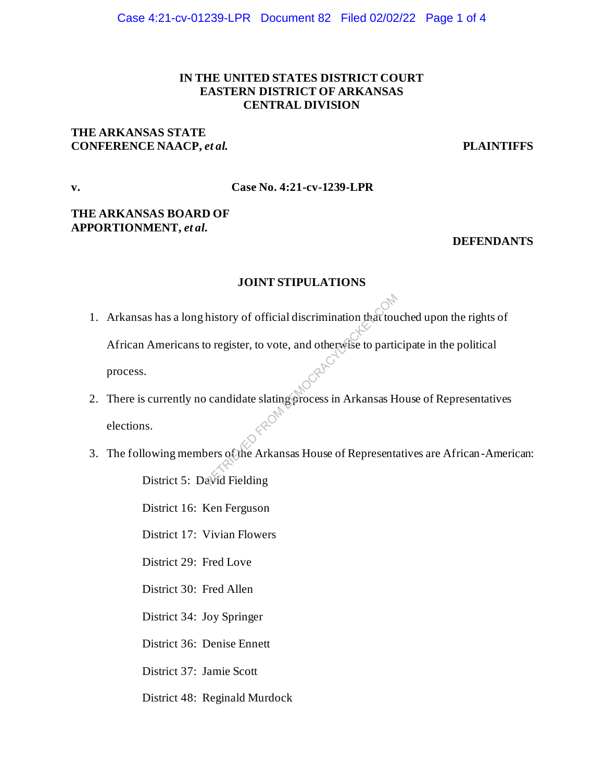# **IN THE UNITED STATES DISTRICT COURT EASTERN DISTRICT OF ARKANSAS CENTRAL DIVISION**

# **THE ARKANSAS STATE CONFERENCE NAACP,** *et al.* **PLAINTIFFS**

## **v. Case No. 4:21-cv-1239-LPR**

# **THE ARKANSAS BOARD OF APPORTIONMENT,** *et al***.**

## **DEFENDANTS**

# **JOINT STIPULATIONS**

- 1. Arkansas has a long history of official discrimination that touched upon the rights of African Americans to register, to vote, and otherwise to participate in the political process. history of official discrimination that touted to particle of register, to vote, and otherwise to particle of candidate slating process in Arkansas H<br>candidate slating process in Arkansas H<br>persoache Arkansas House of Repr
- 2. There is currently no candidate slating process in Arkansas House of Representatives elections.
- 3. The following members of the Arkansas House of Representatives are African-American: District 5: David Fielding

District 16: Ken Ferguson

District 17: Vivian Flowers

District 29: Fred Love

District 30: Fred Allen

District 34: Joy Springer

District 36: Denise Ennett

District 37: Jamie Scott

District 48: Reginald Murdock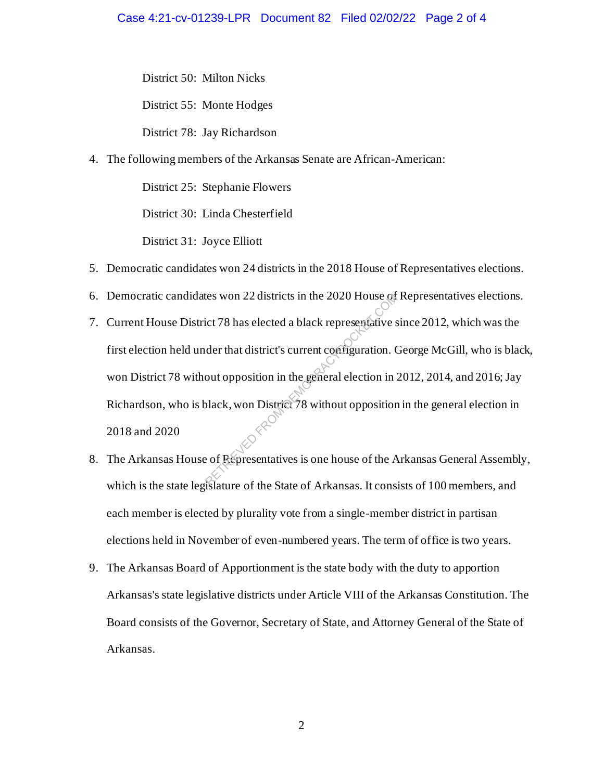District 50: Milton Nicks

District 55: Monte Hodges

District 78: Jay Richardson

4. The following members of the Arkansas Senate are African-American:

District 25: Stephanie Flowers

District 30: Linda Chesterfield

District 31: Joyce Elliott

- 5. Democratic candidates won 24 districts in the 2018 House of Representatives elections.
- 6. Democratic candidates won 22 districts in the 2020 House of Representatives elections.
- 7. Current House District 78 has elected a black representative since 2012, which was the first election held under that district's current configuration. George McGill, who is black, won District 78 without opposition in the general election in 2012, 2014, and 2016; Jay Richardson, who is black, won District 78 without opposition in the general election in 2018 and 2020 ret TRIEVED FROM DETERTAINS And SPECIES AT A selected a black representative state of that district's current configuration. Court opposition in the general election in the selection in the selection in the selection in th
- 8. The Arkansas House of Representatives is one house of the Arkansas General Assembly, which is the state legislature of the State of Arkansas. It consists of 100 members, and each member is elected by plurality vote from a single-member district in partisan elections held in November of even-numbered years. The term of office is two years.
- 9. The Arkansas Board of Apportionment is the state body with the duty to apportion Arkansas's state legislative districts under Article VIII of the Arkansas Constitution. The Board consists of the Governor, Secretary of State, and Attorney General of the State of Arkansas.

2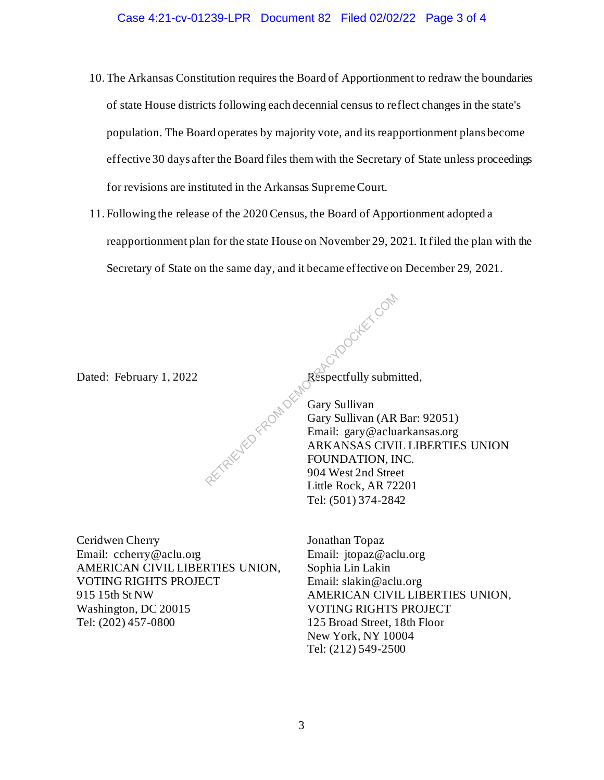- 10.The Arkansas Constitution requires the Board of Apportionment to redraw the boundaries of state House districts following each decennial census to reflect changes in the state's population. The Board operates by majority vote, and its reapportionment plans become effective 30 days after the Board files them with the Secretary of State unless proceedings for revisions are instituted in the Arkansas Supreme Court.
- 11. Following the release of the 2020 Census, the Board of Apportionment adopted a reapportionment plan for the state House on November 29, 2021. It filed the plan with the Secretary of State on the same day, and it became effective on December 29, 2021.

RETRIEVED FROM DEM

Dated: February 1, 2022 Respectfully submitted,

Ceridwen Cherry Email: ccherry@aclu.org AMERICAN CIVIL LIBERTIES UNION, VOTING RIGHTS PROJECT 915 15th St NW Washington, DC 20015 Tel: (202) 457-0800

Gary Sullivan Gary Sullivan (AR Bar: 92051) Email: gary@acluarkansas.org ARKANSAS CIVIL LIBERTIES UNION FOUNDATION, INC. 904 West 2nd Street Little Rock, AR 72201 Tel: (501) 374-2842

Jonathan Topaz Email: jtopaz@aclu.org Sophia Lin Lakin Email: slakin@aclu.org AMERICAN CIVIL LIBERTIES UNION, VOTING RIGHTS PROJECT 125 Broad Street, 18th Floor New York, NY 10004 Tel: (212) 549-2500